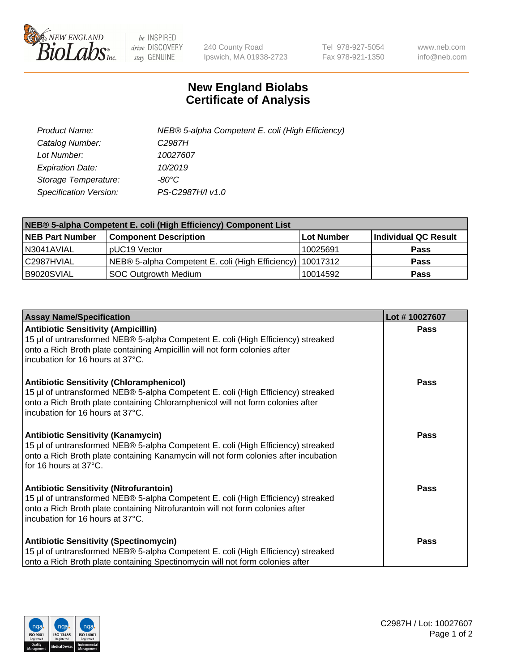

 $be$  INSPIRED drive DISCOVERY stay GENUINE

240 County Road Ipswich, MA 01938-2723 Tel 978-927-5054 Fax 978-921-1350 www.neb.com info@neb.com

## **New England Biolabs Certificate of Analysis**

| Product Name:           | NEB® 5-alpha Competent E. coli (High Efficiency) |
|-------------------------|--------------------------------------------------|
| Catalog Number:         | C <sub>2987</sub> H                              |
| Lot Number:             | 10027607                                         |
| <b>Expiration Date:</b> | 10/2019                                          |
| Storage Temperature:    | -80°C                                            |
| Specification Version:  | PS-C2987H/I v1.0                                 |

| NEB® 5-alpha Competent E. coli (High Efficiency) Component List |                                                             |            |                      |  |
|-----------------------------------------------------------------|-------------------------------------------------------------|------------|----------------------|--|
| <b>NEB Part Number</b>                                          | <b>Component Description</b>                                | Lot Number | Individual QC Result |  |
| N3041AVIAL                                                      | pUC19 Vector                                                | 10025691   | <b>Pass</b>          |  |
| C2987HVIAL                                                      | NEB® 5-alpha Competent E. coli (High Efficiency)   10017312 |            | <b>Pass</b>          |  |
| B9020SVIAL                                                      | <b>SOC Outgrowth Medium</b>                                 | 10014592   | <b>Pass</b>          |  |

| <b>Assay Name/Specification</b>                                                                                                                                                                                                                              | Lot #10027607 |
|--------------------------------------------------------------------------------------------------------------------------------------------------------------------------------------------------------------------------------------------------------------|---------------|
| <b>Antibiotic Sensitivity (Ampicillin)</b><br>15 µl of untransformed NEB® 5-alpha Competent E. coli (High Efficiency) streaked<br>onto a Rich Broth plate containing Ampicillin will not form colonies after<br>incubation for 16 hours at 37°C.             | <b>Pass</b>   |
| <b>Antibiotic Sensitivity (Chloramphenicol)</b><br>15 µl of untransformed NEB® 5-alpha Competent E. coli (High Efficiency) streaked<br>onto a Rich Broth plate containing Chloramphenicol will not form colonies after<br>l incubation for 16 hours at 37°C. | <b>Pass</b>   |
| <b>Antibiotic Sensitivity (Kanamycin)</b><br>15 µl of untransformed NEB® 5-alpha Competent E. coli (High Efficiency) streaked<br>onto a Rich Broth plate containing Kanamycin will not form colonies after incubation<br>for 16 hours at 37°C.               | Pass          |
| <b>Antibiotic Sensitivity (Nitrofurantoin)</b><br>15 µl of untransformed NEB® 5-alpha Competent E. coli (High Efficiency) streaked<br>onto a Rich Broth plate containing Nitrofurantoin will not form colonies after<br>incubation for 16 hours at 37°C.     | <b>Pass</b>   |
| <b>Antibiotic Sensitivity (Spectinomycin)</b><br>15 µl of untransformed NEB® 5-alpha Competent E. coli (High Efficiency) streaked<br>onto a Rich Broth plate containing Spectinomycin will not form colonies after                                           | <b>Pass</b>   |